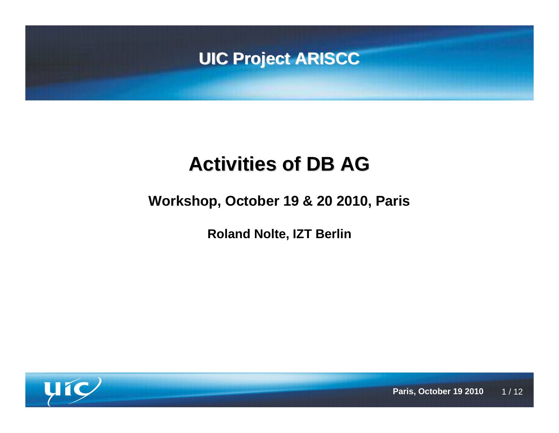

## **Activities of DB AG**

### **Workshop, October 19 & 20 2010, Paris**

**Roland Nolte, IZT Berlin**

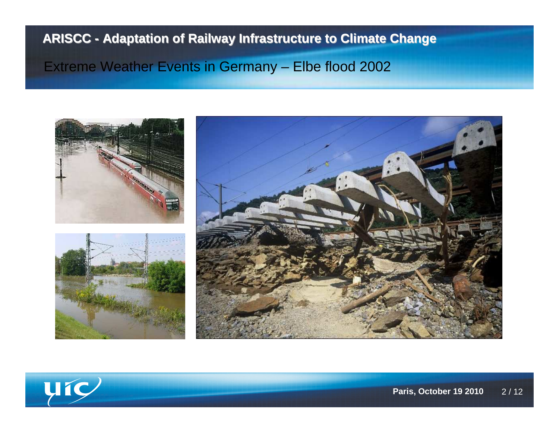### Extreme Weather Events in Germany – Elbe flood 2002



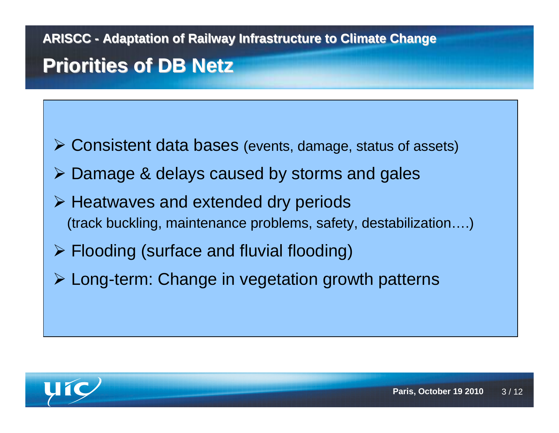**ARISCC - Adaptation of Railway Infrastructure to Climate ChangePriorities of DB Netz**

Consistent data bases (events, damage, status of assets)

- Damage & delays caused by storms and gales
- **► Heatwaves and extended dry periods** (track buckling, maintenance problems, safety, destabilization….)
- Flooding (surface and fluvial flooding)
- Long-term: Change in vegetation growth patterns

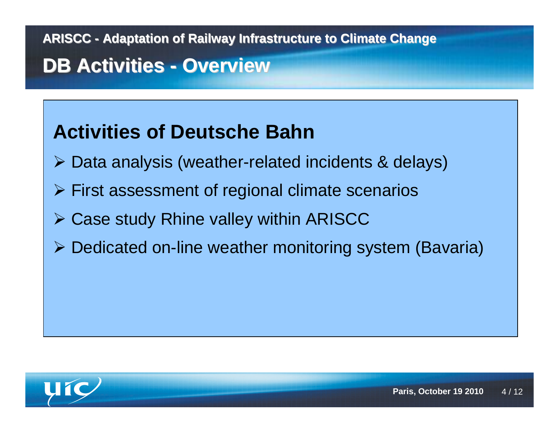## **DB Activities - Overview**

### **Activities of Deutsche Bahn**

- Data analysis (weather-related incidents & delays)
- First assessment of regional climate scenarios
- Case study Rhine valley within ARISCC
- Dedicated on-line weather monitoring system (Bavaria)

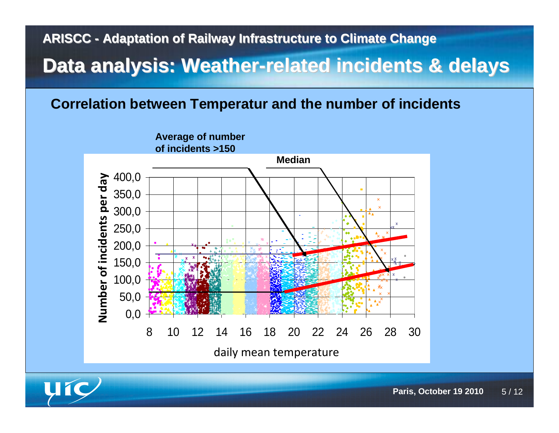### **Data analysis: Weather-related incidents & delays**

#### **Correlation between Temperatur and the number of incidents**



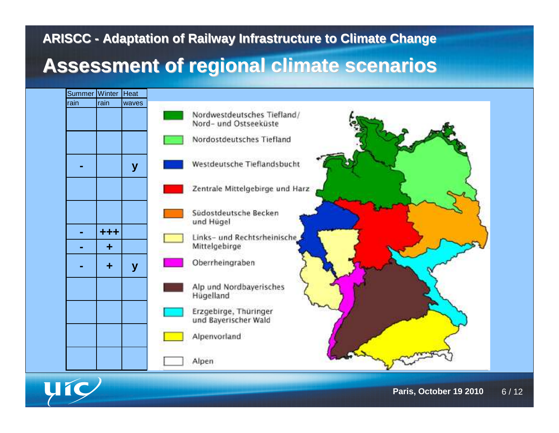### **Assessment of regional climate scenarios**



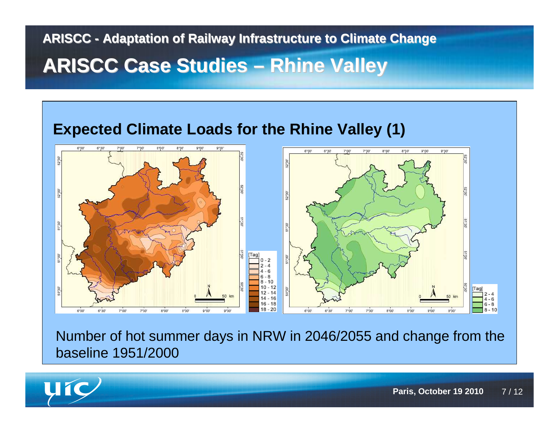## **ARISCC - Adaptation of Railway Infrastructure to Climate ChangeARISCC Case Studies – Rhine Valley**



Number of hot summer days in NRW in 2046/2055 and change from the baseline 1951/2000

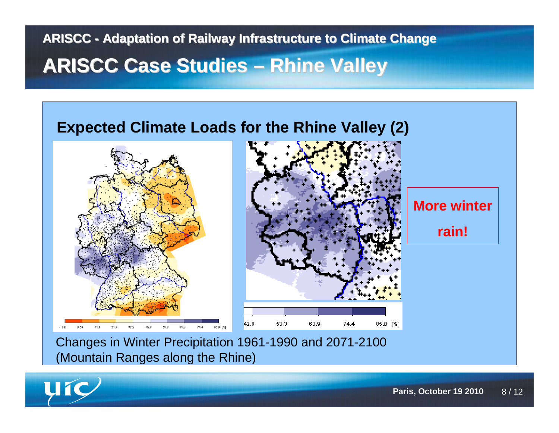## **ARISCC - Adaptation of Railway Infrastructure to Climate ChangeARISCC Case Studies – Rhine Valley**



(Mountain Ranges along the Rhine)

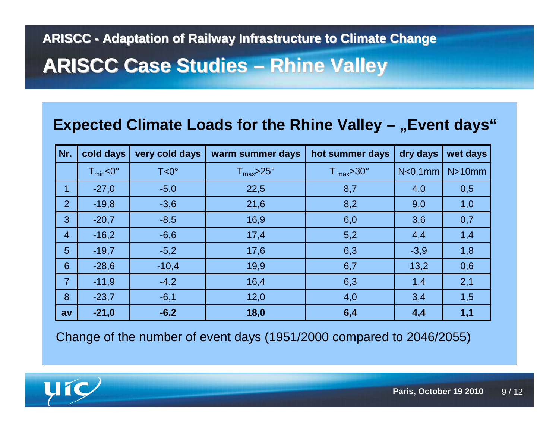# **ARISCC Case Studies – Rhine Valley**

### **Expected Climate Loads for the Rhine Valley – "Event days"**

| Nr.            | cold days     | very cold days | warm summer days     | hot summer days                | dry days             | wet days |
|----------------|---------------|----------------|----------------------|--------------------------------|----------------------|----------|
|                | $T_{min}$ <0° | $T < 0^\circ$  | ${\rm T_{max}}$ >25° | $\mathsf{T}_{\text{max}}$ >30° | N <sub>0</sub> , 1mm | N>10mm   |
| 1              | $-27,0$       | $-5,0$         | 22,5                 | 8,7                            | 4,0                  | 0,5      |
| 2              | $-19,8$       | $-3,6$         | 21,6                 | 8,2                            | 9,0                  | 1,0      |
| 3              | $-20,7$       | $-8,5$         | 16,9                 | 6,0                            | 3,6                  | 0,7      |
| $\overline{4}$ | $-16,2$       | $-6,6$         | 17,4                 | 5,2                            | 4,4                  | 1,4      |
| 5              | $-19,7$       | $-5,2$         | 17,6                 | 6,3                            | $-3,9$               | 1,8      |
| 6              | $-28,6$       | $-10,4$        | 19,9                 | 6,7                            | 13,2                 | 0,6      |
| $\overline{7}$ | $-11,9$       | $-4,2$         | 16,4                 | 6,3                            | 1,4                  | 2,1      |
| 8              | $-23,7$       | $-6,1$         | 12,0                 | 4,0                            | 3,4                  | 1,5      |
| av             | $-21,0$       | $-6,2$         | 18,0                 | 6,4                            | 4,4                  | 1,1      |

Change of the number of event days (1951/2000 compared to 2046/2055)

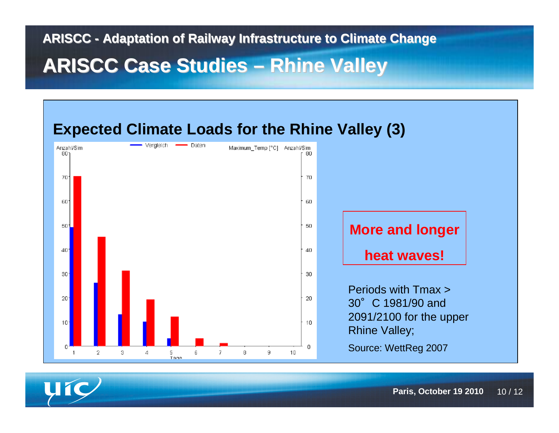# **ARISCC Case Studies – Rhine Valley**